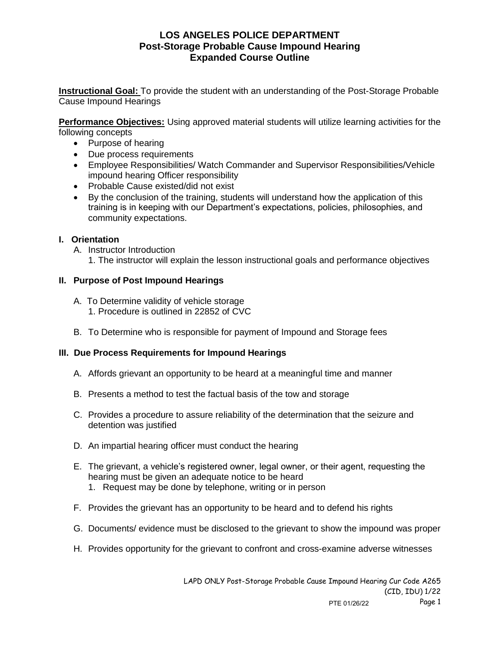# **LOS ANGELES POLICE DEPARTMENT Post-Storage Probable Cause Impound Hearing Expanded Course Outline**

**Instructional Goal:** To provide the student with an understanding of the Post-Storage Probable Cause Impound Hearings

**Performance Objectives:** Using approved material students will utilize learning activities for the following concepts

- Purpose of hearing
- Due process requirements
- Employee Responsibilities/ Watch Commander and Supervisor Responsibilities/Vehicle impound hearing Officer responsibility
- Probable Cause existed/did not exist
- By the conclusion of the training, students will understand how the application of this training is in keeping with our Department's expectations, policies, philosophies, and community expectations.

## **I. Orientation**

- A. Instructor Introduction
	- 1. The instructor will explain the lesson instructional goals and performance objectives

### **II. Purpose of Post Impound Hearings**

- A. To Determine validity of vehicle storage 1. Procedure is outlined in 22852 of CVC
- B. To Determine who is responsible for payment of Impound and Storage fees

### **III. Due Process Requirements for Impound Hearings**

- A. Affords grievant an opportunity to be heard at a meaningful time and manner
- B. Presents a method to test the factual basis of the tow and storage
- C. Provides a procedure to assure reliability of the determination that the seizure and detention was justified
- D. An impartial hearing officer must conduct the hearing
- E. The grievant, a vehicle's registered owner, legal owner, or their agent, requesting the hearing must be given an adequate notice to be heard
	- 1. Request may be done by telephone, writing or in person
- F. Provides the grievant has an opportunity to be heard and to defend his rights
- G. Documents/ evidence must be disclosed to the grievant to show the impound was proper
- H. Provides opportunity for the grievant to confront and cross-examine adverse witnesses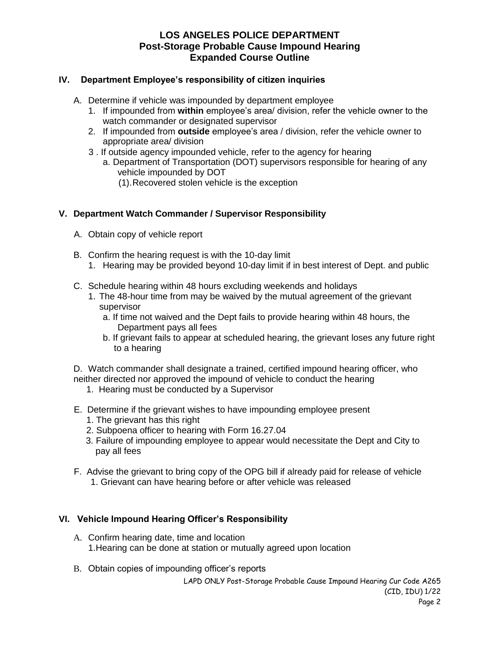# **LOS ANGELES POLICE DEPARTMENT Post-Storage Probable Cause Impound Hearing Expanded Course Outline**

### **IV. Department Employee's responsibility of citizen inquiries**

- A. Determine if vehicle was impounded by department employee
	- 1. If impounded from **within** employee's area/ division, refer the vehicle owner to the watch commander or designated supervisor
	- 2. If impounded from **outside** employee's area / division, refer the vehicle owner to appropriate area/ division
	- 3 . If outside agency impounded vehicle, refer to the agency for hearing
		- a. Department of Transportation (DOT) supervisors responsible for hearing of any vehicle impounded by DOT
			- (1).Recovered stolen vehicle is the exception

## **V. Department Watch Commander / Supervisor Responsibility**

- A. Obtain copy of vehicle report
- B. Confirm the hearing request is with the 10-day limit
	- 1. Hearing may be provided beyond 10-day limit if in best interest of Dept. and public
- C. Schedule hearing within 48 hours excluding weekends and holidays
	- 1. The 48-hour time from may be waived by the mutual agreement of the grievant supervisor
		- a. If time not waived and the Dept fails to provide hearing within 48 hours, the Department pays all fees
		- b. If grievant fails to appear at scheduled hearing, the grievant loses any future right to a hearing

D. Watch commander shall designate a trained, certified impound hearing officer, who neither directed nor approved the impound of vehicle to conduct the hearing

- 1. Hearing must be conducted by a Supervisor
- E. Determine if the grievant wishes to have impounding employee present
	- 1. The grievant has this right
	- 2. Subpoena officer to hearing with Form 16.27.04
	- 3. Failure of impounding employee to appear would necessitate the Dept and City to pay all fees
- F. Advise the grievant to bring copy of the OPG bill if already paid for release of vehicle 1. Grievant can have hearing before or after vehicle was released

### **VI. Vehicle Impound Hearing Officer's Responsibility**

- A. Confirm hearing date, time and location 1.Hearing can be done at station or mutually agreed upon location
- B. Obtain copies of impounding officer's reports